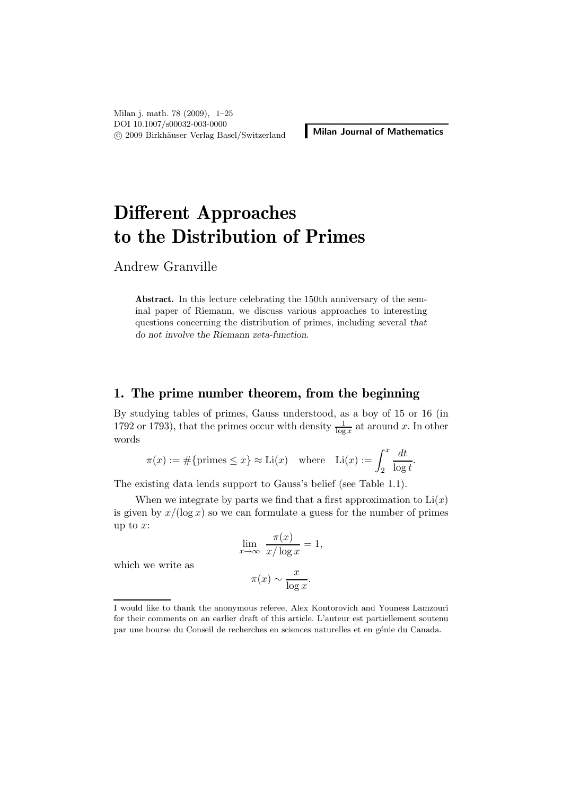# Different Approaches to the Distribution of Primes

Andrew Granville

Abstract. In this lecture celebrating the 150th anniversary of the seminal paper of Riemann, we discuss various approaches to interesting questions concerning the distribution of primes, including several that do not involve the Riemann zeta-function.

#### 1. The prime number theorem, from the beginning

By studying tables of primes, Gauss understood, as a boy of 15 or 16 (in 1792 or 1793), that the primes occur with density  $\frac{1}{\log x}$  at around x. In other words

$$
\pi(x) := \#\{\text{primes} \le x\} \approx \text{Li}(x) \quad \text{where} \quad \text{Li}(x) := \int_2^x \frac{dt}{\log t}.
$$

The existing data lends support to Gauss's belief (see Table 1.1).

When we integrate by parts we find that a first approximation to  $Li(x)$ is given by  $x/(\log x)$  so we can formulate a guess for the number of primes up to  $x$ :

$$
\lim_{x \to \infty} \frac{\pi(x)}{x/\log x} = 1,
$$

$$
\pi(x) \sim \frac{x}{\log x}.
$$

which we write as

I would like to thank the anonymous referee, Alex Kontorovich and Youness Lamzouri for their comments on an earlier draft of this article. L'auteur est partiellement soutenu par une bourse du Conseil de recherches en sciences naturelles et en génie du Canada.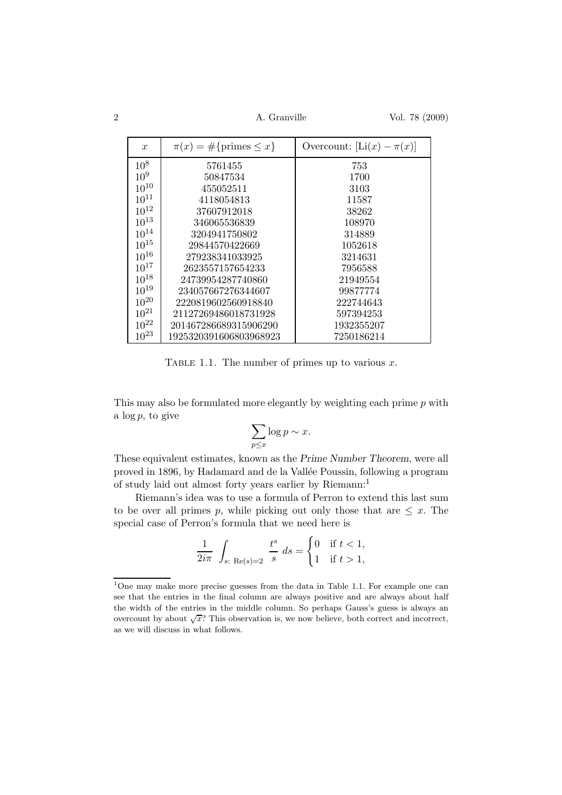| $\boldsymbol{x}$ | $\pi(x) = \#\{\text{primes} \leq x\}$ | Overcount: $[Li(x) - \pi(x)]$ |
|------------------|---------------------------------------|-------------------------------|
| $10^{8}$         | 5761455                               | 753                           |
| $10^{9}$         | 50847534                              | 1700                          |
| $10^{10}$        | 455052511                             | 3103                          |
| $10^{11}$        | 4118054813                            | 11587                         |
| $10^{12}$        | 37607912018                           | 38262                         |
| $10^{13}$        | 346065536839                          | 108970                        |
| $10^{14}$        | 3204941750802                         | 314889                        |
| $10^{15}$        | 29844570422669                        | 1052618                       |
| $10^{16}$        | 279238341033925                       | 3214631                       |
| $10^{17}$        | 2623557157654233                      | 7956588                       |
| $10^{18}$        | 24739954287740860                     | 21949554                      |
| $10^{19}$        | 234057667276344607                    | 99877774                      |
| $10^{20}$        | 2220819602560918840                   | 222744643                     |
| $10^{21}$        | 21127269486018731928                  | 597394253                     |
| $10^{22}$        | 201467286689315906290                 | 1932355207                    |
| $10^{23}$        | 1925320391606803968923                | 7250186214                    |

TABLE 1.1. The number of primes up to various  $x$ .

This may also be formulated more elegantly by weighting each prime  $p$  with a  $\log p$ , to give

$$
\sum_{p \le x} \log p \sim x.
$$

These equivalent estimates, known as the Prime Number Theorem, were all proved in 1896, by Hadamard and de la Vallée Poussin, following a program of study laid out almost forty years earlier by Riemann:<sup>1</sup>

Riemann's idea was to use a formula of Perron to extend this last sum to be over all primes p, while picking out only those that are  $\leq x$ . The special case of Perron's formula that we need here is

$$
\frac{1}{2i\pi} \int_{s:\text{Re}(s)=2} \frac{t^s}{s} ds = \begin{cases} 0 & \text{if } t < 1, \\ 1 & \text{if } t > 1, \end{cases}
$$

<sup>1</sup>One may make more precise guesses from the data in Table 1.1. For example one can see that the entries in the final column are always positive and are always about half the width of the entries in the middle column. So perhaps Gauss's guess is always an overcount by about  $\sqrt{x}$ ? This observation is, we now believe, both correct and incorrect, as we will discuss in what follows.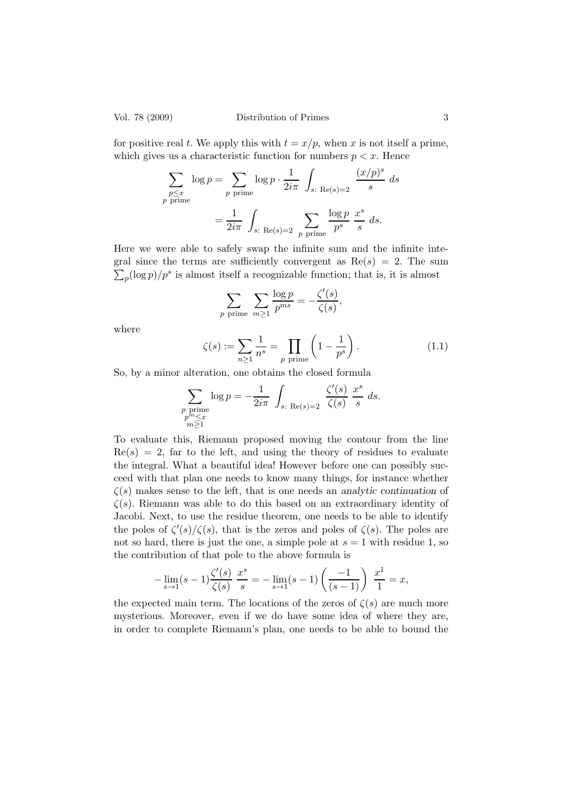for positive real t. We apply this with  $t = x/p$ , when x is not itself a prime, which gives us a characteristic function for numbers  $p < x$ . Hence

$$
\sum_{\substack{p \le x \\ p \text{ prime}}} \log p = \sum_{\substack{p \text{ prime}}} \log p \cdot \frac{1}{2i\pi} \int_{s: \text{ Re}(s) = 2} \frac{(x/p)^s}{s} ds
$$

$$
= \frac{1}{2i\pi} \int_{s: \text{ Re}(s) = 2} \sum_{p \text{ prime}} \frac{\log p}{p^s} \frac{x^s}{s} ds.
$$

Here we were able to safely swap the infinite sum and the infinite inte- $\sum_p (\log p)/p^s$  is almost itself a recognizable function; that is, it is almost gral since the terms are sufficiently convergent as  $Re(s) = 2$ . The sum

$$
\sum_{p \text{ prime}} \sum_{m \geq 1} \frac{\log p}{p^{ms}} = -\frac{\zeta'(s)}{\zeta(s)},
$$

where

$$
\zeta(s) := \sum_{n \ge 1} \frac{1}{n^s} = \prod_{p \text{ prime}} \left( 1 - \frac{1}{p^s} \right). \tag{1.1}
$$

So, by a minor alteration, one obtains the closed formula

$$
\sum_{\substack{p \text{ prime} \\ p^m \le x \\ m \ge 1}} \log p = -\frac{1}{2i\pi} \int_{s: \text{ Re}(s) = 2} \frac{\zeta'(s)}{\zeta(s)} \frac{x^s}{s} ds.
$$

To evaluate this, Riemann proposed moving the contour from the line  $Re(s) = 2$ , far to the left, and using the theory of residues to evaluate the integral. What a beautiful idea! However before one can possibly succeed with that plan one needs to know many things, for instance whether  $\zeta(s)$  makes sense to the left, that is one needs an analytic continuation of  $\zeta(s)$ . Riemann was able to do this based on an extraordinary identity of Jacobi. Next, to use the residue theorem, one needs to be able to identify the poles of  $\zeta'(s)/\zeta(s)$ , that is the zeros and poles of  $\zeta(s)$ . The poles are not so hard, there is just the one, a simple pole at  $s = 1$  with residue 1, so the contribution of that pole to the above formula is

$$
-\lim_{s \to 1} (s-1) \frac{\zeta'(s)}{\zeta(s)} \frac{x^s}{s} = -\lim_{s \to 1} (s-1) \left( \frac{-1}{(s-1)} \right) \frac{x^1}{1} = x,
$$

the expected main term. The locations of the zeros of  $\zeta(s)$  are much more mysterious. Moreover, even if we do have some idea of where they are, in order to complete Riemann's plan, one needs to be able to bound the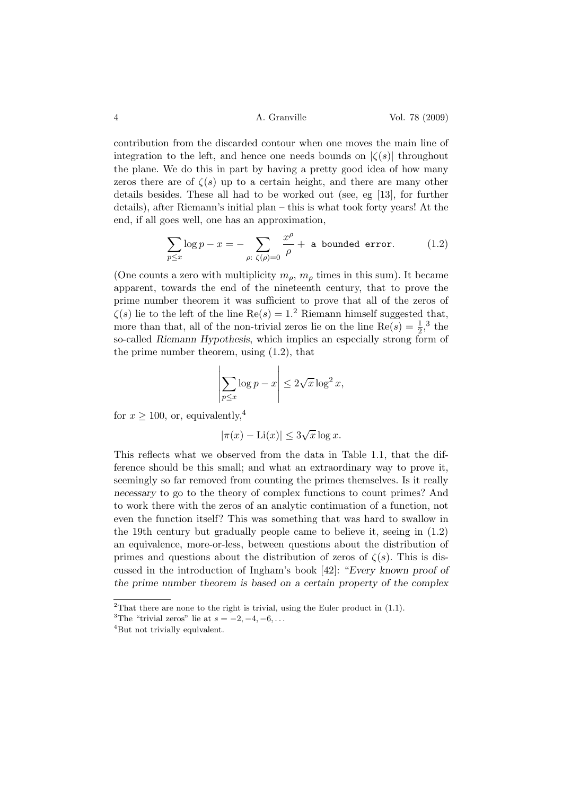4 A. Granville Vol. 78 (2009)

contribution from the discarded contour when one moves the main line of integration to the left, and hence one needs bounds on  $|\zeta(s)|$  throughout the plane. We do this in part by having a pretty good idea of how many zeros there are of  $\zeta(s)$  up to a certain height, and there are many other details besides. These all had to be worked out (see, eg [13], for further details), after Riemann's initial plan – this is what took forty years! At the end, if all goes well, one has an approximation,

$$
\sum_{p \le x} \log p - x = - \sum_{\rho: \ \zeta(\rho) = 0} \frac{x^{\rho}}{\rho} + \text{ a bounded error.} \tag{1.2}
$$

(One counts a zero with multiplicity  $m_{\rho}$ ,  $m_{\rho}$  times in this sum). It became apparent, towards the end of the nineteenth century, that to prove the prime number theorem it was sufficient to prove that all of the zeros of  $\zeta(s)$  lie to the left of the line Re $(s) = 1<sup>2</sup>$  Riemann himself suggested that, more than that, all of the non-trivial zeros lie on the line  $\text{Re}(s) = \frac{1}{2}$ ,<sup>3</sup> the so-called Riemann Hypothesis, which implies an especially strong form of the prime number theorem, using (1.2), that

$$
\left| \sum_{p \le x} \log p - x \right| \le 2\sqrt{x} \log^2 x,
$$

for  $x \ge 100$ , or, equivalently,<sup>4</sup>

$$
|\pi(x) - \text{Li}(x)| \le 3\sqrt{x}\log x.
$$

This reflects what we observed from the data in Table 1.1, that the difference should be this small; and what an extraordinary way to prove it, seemingly so far removed from counting the primes themselves. Is it really necessary to go to the theory of complex functions to count primes? And to work there with the zeros of an analytic continuation of a function, not even the function itself? This was something that was hard to swallow in the 19th century but gradually people came to believe it, seeing in (1.2) an equivalence, more-or-less, between questions about the distribution of primes and questions about the distribution of zeros of  $\zeta(s)$ . This is discussed in the introduction of Ingham's book [42]: "Every known proof of the prime number theorem is based on a certain property of the complex

<sup>&</sup>lt;sup>2</sup>That there are none to the right is trivial, using the Euler product in  $(1.1)$ .

<sup>&</sup>lt;sup>3</sup>The "trivial zeros" lie at  $s = -2, -4, -6, \ldots$ 

<sup>&</sup>lt;sup>4</sup>But not trivially equivalent.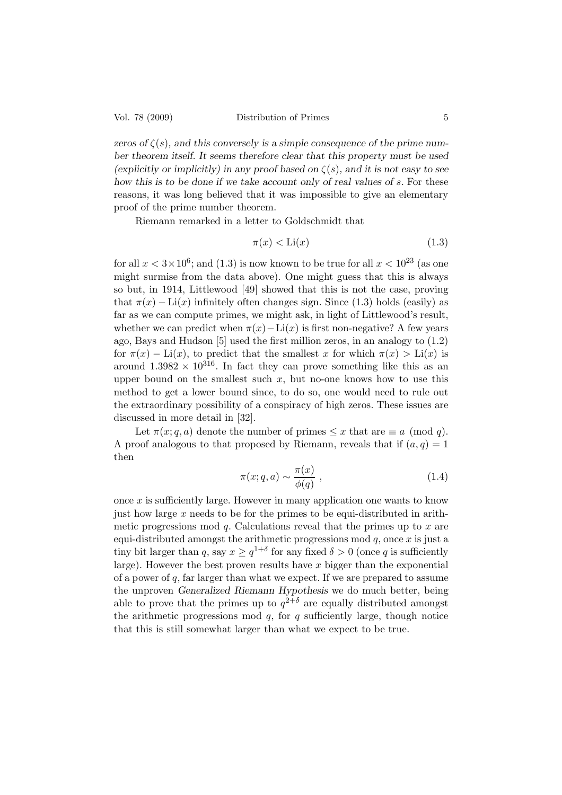zeros of  $\zeta(s)$ , and this conversely is a simple consequence of the prime number theorem itself. It seems therefore clear that this property must be used (explicitly or implicitly) in any proof based on  $\zeta(s)$ , and it is not easy to see how this is to be done if we take account only of real values of s. For these reasons, it was long believed that it was impossible to give an elementary proof of the prime number theorem.

Riemann remarked in a letter to Goldschmidt that

$$
\pi(x) < \text{Li}(x) \tag{1.3}
$$

for all  $x < 3 \times 10^6$ ; and (1.3) is now known to be true for all  $x < 10^{23}$  (as one might surmise from the data above). One might guess that this is always so but, in 1914, Littlewood [49] showed that this is not the case, proving that  $\pi(x) - \text{Li}(x)$  infinitely often changes sign. Since (1.3) holds (easily) as far as we can compute primes, we might ask, in light of Littlewood's result, whether we can predict when  $\pi(x) - \text{Li}(x)$  is first non-negative? A few years ago, Bays and Hudson [5] used the first million zeros, in an analogy to (1.2) for  $\pi(x) - \text{Li}(x)$ , to predict that the smallest x for which  $\pi(x) > \text{Li}(x)$  is around  $1.3982 \times 10^{316}$ . In fact they can prove something like this as an upper bound on the smallest such  $x$ , but no-one knows how to use this method to get a lower bound since, to do so, one would need to rule out the extraordinary possibility of a conspiracy of high zeros. These issues are discussed in more detail in [32].

Let  $\pi(x; q, a)$  denote the number of primes  $\leq x$  that are  $\equiv a \pmod{q}$ . A proof analogous to that proposed by Riemann, reveals that if  $(a, q) = 1$ then

$$
\pi(x;q,a) \sim \frac{\pi(x)}{\phi(q)},\tag{1.4}
$$

once  $x$  is sufficiently large. However in many application one wants to know just how large x needs to be for the primes to be equi-distributed in arithmetic progressions mod  $q$ . Calculations reveal that the primes up to  $x$  are equi-distributed amongst the arithmetic progressions mod  $q$ , once  $x$  is just a tiny bit larger than q, say  $x \ge q^{1+\delta}$  for any fixed  $\delta > 0$  (once q is sufficiently large). However the best proven results have  $x$  bigger than the exponential of a power of  $q$ , far larger than what we expect. If we are prepared to assume the unproven Generalized Riemann Hypothesis we do much better, being able to prove that the primes up to  $q^{2+\delta}$  are equally distributed amongst the arithmetic progressions mod  $q$ , for  $q$  sufficiently large, though notice that this is still somewhat larger than what we expect to be true.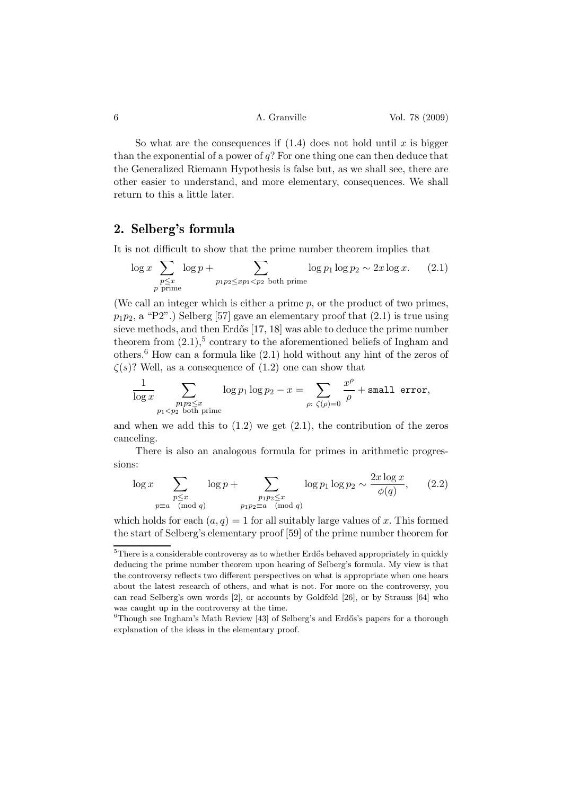So what are the consequences if  $(1.4)$  does not hold until x is bigger than the exponential of a power of  $q$ ? For one thing one can then deduce that the Generalized Riemann Hypothesis is false but, as we shall see, there are other easier to understand, and more elementary, consequences. We shall return to this a little later.

## 2. Selberg's formula

It is not difficult to show that the prime number theorem implies that

$$
\log x \sum_{\substack{p \le x \\ p \text{ prime}}} \log p + \sum_{\substack{p_1 p_2 \le xp_1 < p_2 \text{ both prime}}} \log p_1 \log p_2 \sim 2x \log x. \tag{2.1}
$$

(We call an integer which is either a prime  $p$ , or the product of two primes,  $p_1p_2$ , a "P2".) Selberg [57] gave an elementary proof that  $(2.1)$  is true using sieve methods, and then Erdős [17, 18] was able to deduce the prime number theorem from  $(2.1)$ ,<sup>5</sup> contrary to the aforementioned beliefs of Ingham and others.<sup>6</sup> How can a formula like  $(2.1)$  hold without any hint of the zeros of  $\zeta(s)$ ? Well, as a consequence of  $(1.2)$  one can show that

$$
\frac{1}{\log x}\sum_{\substack{p_1p_2\leq x\\ p_1
$$

and when we add this to  $(1.2)$  we get  $(2.1)$ , the contribution of the zeros canceling.

There is also an analogous formula for primes in arithmetic progressions:

$$
\log x \sum_{\substack{p \le x \\ p \equiv a \pmod{q}}} \log p + \sum_{\substack{p_1 p_2 \le x \\ p_1 p_2 \equiv a \pmod{q}}} \log p_1 \log p_2 \sim \frac{2x \log x}{\phi(q)},\qquad(2.2)
$$

which holds for each  $(a, q) = 1$  for all suitably large values of x. This formed the start of Selberg's elementary proof [59] of the prime number theorem for

 $5$ There is a considerable controversy as to whether Erdős behaved appropriately in quickly deducing the prime number theorem upon hearing of Selberg's formula. My view is that the controversy reflects two different perspectives on what is appropriate when one hears about the latest research of others, and what is not. For more on the controversy, you can read Selberg's own words [2], or accounts by Goldfeld [26], or by Strauss [64] who was caught up in the controversy at the time.

 $^6$ Though see Ingham's Math Review [43] of Selberg's and Erdős's papers for a thorough explanation of the ideas in the elementary proof.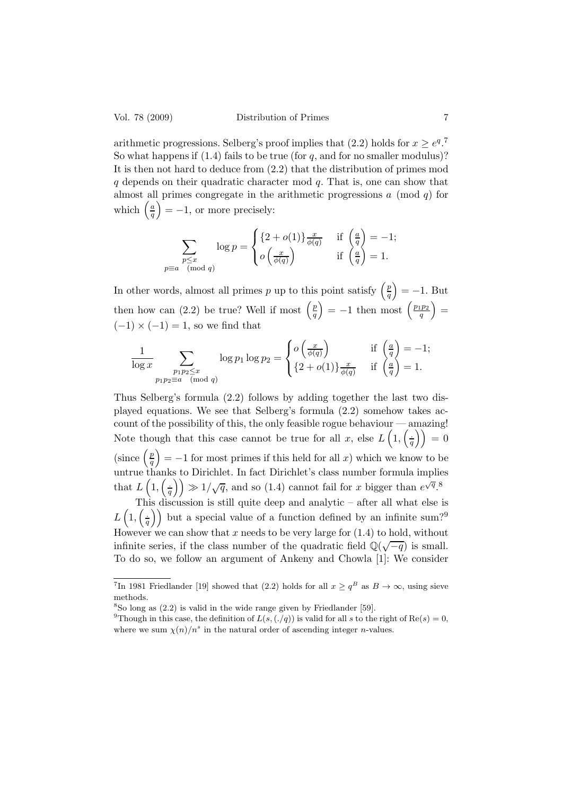arithmetic progressions. Selberg's proof implies that (2.2) holds for  $x \geq e^{q}$ . So what happens if  $(1.4)$  fails to be true (for q, and for no smaller modulus)? It is then not hard to deduce from (2.2) that the distribution of primes mod  $q$  depends on their quadratic character mod  $q$ . That is, one can show that almost all primes congregate in the arithmetic progressions  $a \pmod{q}$  for which  $\left(\frac{a}{a}\right)$  $\left(\frac{a}{q}\right) = -1$ , or more precisely:

$$
\sum_{\substack{p \le x \\ p \equiv a \pmod{q}}} \log p = \begin{cases} \{2 + o(1)\} \frac{x}{\phi(q)} & \text{if } \left(\frac{a}{q}\right) = -1; \\ o\left(\frac{x}{\phi(q)}\right) & \text{if } \left(\frac{a}{q}\right) = 1. \end{cases}
$$

In other words, almost all primes p up to this point satisfy  $\left(\frac{p}{q}\right)$  $\left(\frac{p}{q}\right) = -1.$  But then how can (2.2) be true? Well if most  $\left(\frac{p}{q}\right)$  $\left(\frac{p}{q}\right) = -1$  then most  $\left(\frac{p_1p_2}{q}\right)$  $\frac{\left(p_{2}\right)}{q}$  =  $(-1) \times (-1) = 1$ , so we find that

$$
\frac{1}{\log x} \sum_{\substack{p_1p_2 \le x \\ p_1p_2 \equiv a \pmod{q}}} \log p_1 \log p_2 = \begin{cases} o\left(\frac{x}{\phi(q)}\right) & \text{if } \left(\frac{a}{q}\right) = -1; \\ \{2 + o(1)\}\frac{x}{\phi(q)} & \text{if } \left(\frac{a}{q}\right) = 1. \end{cases}
$$

Thus Selberg's formula (2.2) follows by adding together the last two displayed equations. We see that Selberg's formula (2.2) somehow takes account of the possibility of this, the only feasible rogue behaviour — amazing! Note though that this case cannot be true for all x, else  $L(1, \frac{1}{6})$  $\frac{1}{q}\biggr)\biggr) = 0$ (since  $\left(\frac{p}{q}\right)$  $\binom{p}{q}$  = -1 for most primes if this held for all x) which we know to be untrue thanks to Dirichlet. In fact Dirichlet's class number formula implies that  $L(1, \frac{1}{a})$  $\left(\frac{1}{q}\right)$   $\gg 1/\sqrt{q}$ , and so (1.4) cannot fail for x bigger than  $e^{\sqrt{q}}$ .<sup>8</sup>

This discussion is still quite deep and analytic – after all what else is  $L\left(1,\left(\frac{1}{a}\right)\right)$  $\left(\frac{1}{q}\right)$  but a special value of a function defined by an infinite sum?<sup>9</sup> However we can show that x needs to be very large for  $(1.4)$  to hold, without infinite series, if the class number of the quadratic field  $\mathbb{Q}(\sqrt{-q})$  is small. To do so, we follow an argument of Ankeny and Chowla [1]: We consider

<sup>&</sup>lt;sup>7</sup>In 1981 Friedlander [19] showed that (2.2) holds for all  $x \ge q^B$  as  $B \to \infty$ , using sieve methods.

<sup>8</sup> So long as (2.2) is valid in the wide range given by Friedlander [59].

<sup>&</sup>lt;sup>9</sup>Though in this case, the definition of  $L(s, (./q))$  is valid for all s to the right of Re(s) = 0, where we sum  $\chi(n)/n^s$  in the natural order of ascending integer *n*-values.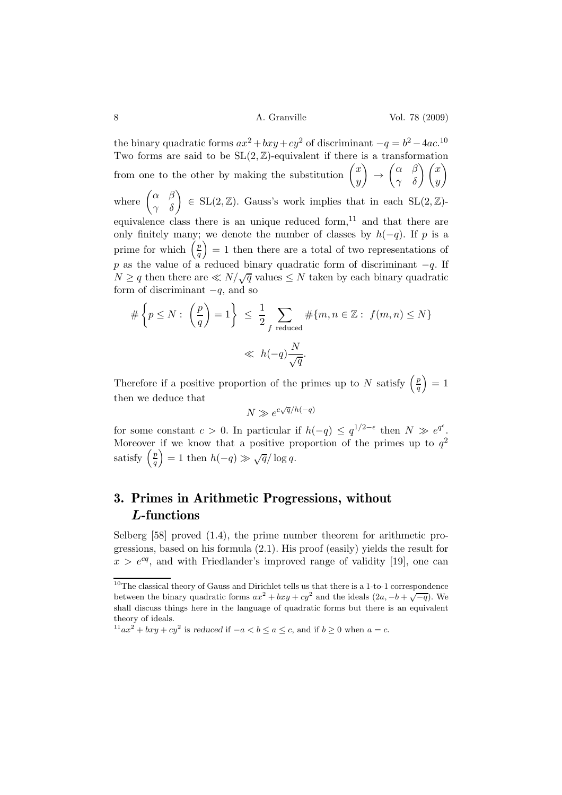8 A. Granville Vol. 78 (2009)

the binary quadratic forms  $ax^2 + bxy + cy^2$  of discriminant  $-q = b^2 - 4ac$ <sup>10</sup> Two forms are said to be  $SL(2, \mathbb{Z})$ -equivalent if there is a transformation from one to the other by making the substitution  $\begin{pmatrix} x \\ y \end{pmatrix}$  $\overline{y}$  $\setminus$  $\rightarrow$  $\begin{pmatrix} \alpha & \beta \\ \gamma & \delta \end{pmatrix} \begin{pmatrix} x \\ y \end{pmatrix}$  $\setminus$ where  $\begin{pmatrix} \alpha & \beta \\ \gamma & \delta \end{pmatrix} \in SL(2, \mathbb{Z})$ . Gauss's work implies that in each  $SL(2, \mathbb{Z})$ equivalence class there is an unique reduced form, $^{11}$  and that there are only finitely many; we denote the number of classes by  $h(-q)$ . If p is a prime for which  $\left(\frac{p}{q}\right)$  $\left(\frac{p}{q}\right) = 1$  then there are a total of two representations of p as the value of a reduced binary quadratic form of discriminant  $-q$ . If  $N \geq q$  then there are  $\ll N/\sqrt{q}$  values  $\leq N$  taken by each binary quadratic form of discriminant  $-q$ , and so

$$
\#\left\{p \le N : \left(\frac{p}{q}\right) = 1\right\} \le \frac{1}{2} \sum_{f \text{ reduced}} \#\{m, n \in \mathbb{Z} : f(m, n) \le N\}
$$

$$
\ll h(-q) \frac{N}{\sqrt{q}}.
$$

Therefore if a positive proportion of the primes up to N satisfy  $\left(\frac{p}{q}\right)$  $\left(\frac{p}{q}\right) = 1$ then we deduce that

$$
N \gg e^{c\sqrt{q}/h(-q)}
$$

for some constant  $c > 0$ . In particular if  $h(-q) \leq q^{1/2-\epsilon}$  then  $N \gg e^{q^{\epsilon}}$ . Moreover if we know that a positive proportion of the primes up to  $q^2$ satisfy  $\left(\frac{p}{q}\right)$  $\left(\frac{p}{q}\right) = 1$  then  $h(-q) \gg \sqrt{q}/\log q$ .

## 3. Primes in Arithmetic Progressions, without L-functions

Selberg [58] proved (1.4), the prime number theorem for arithmetic progressions, based on his formula (2.1). His proof (easily) yields the result for  $x > e^{cq}$ , and with Friedlander's improved range of validity [19], one can

<sup>10</sup>The classical theory of Gauss and Dirichlet tells us that there is a 1-to-1 correspondence between the binary quadratic forms  $ax^2 + bxy + cy^2$  and the ideals  $(2a, -b + \sqrt{-q})$ . We shall discuss things here in the language of quadratic forms but there is an equivalent theory of ideals.

 $11$  $ax^2 + bxy + cy^2$  is reduced if  $-a < b \le a \le c$ , and if  $b \ge 0$  when  $a = c$ .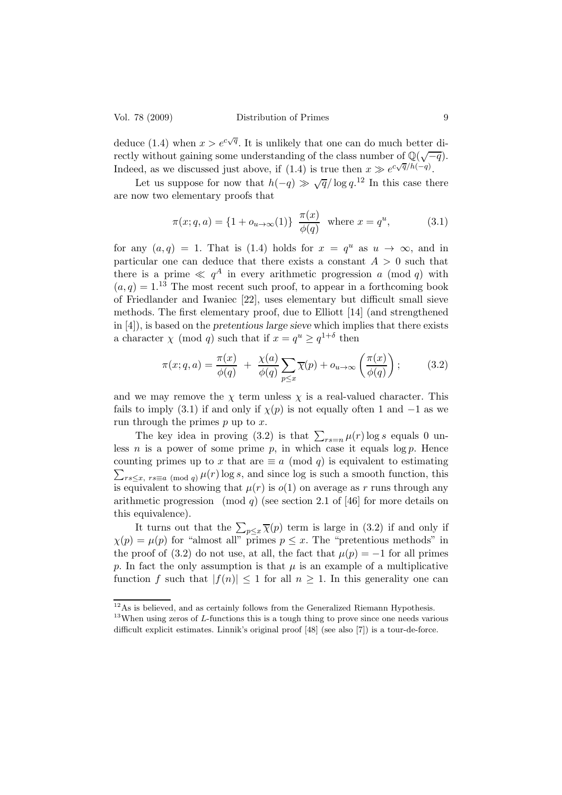deduce (1.4) when  $x > e^{c\sqrt{q}}$ . It is unlikely that one can do much better directly without gaining some understanding of the class number of  $\mathbb{Q}(\sqrt{-q})$ . Indeed, as we discussed just above, if (1.4) is true then  $x \gg e^{c\sqrt{q}/h(-q)}$ .

Let us suppose for now that  $h(-q) \gg \sqrt{q}/\log q$ <sup>12</sup> In this case there are now two elementary proofs that

$$
\pi(x; q, a) = \{1 + o_{u \to \infty}(1)\} \frac{\pi(x)}{\phi(q)} \text{ where } x = q^u,
$$
 (3.1)

for any  $(a,q) = 1$ . That is (1.4) holds for  $x = q^u$  as  $u \to \infty$ , and in particular one can deduce that there exists a constant  $A > 0$  such that there is a prime  $\ll q^A$  in every arithmetic progression a (mod q) with  $(a, q) = 1^{13}$  The most recent such proof, to appear in a forthcoming book of Friedlander and Iwaniec [22], uses elementary but difficult small sieve methods. The first elementary proof, due to Elliott [14] (and strengthened in [4]), is based on the pretentious large sieve which implies that there exists a character  $\chi \pmod{q}$  such that if  $x = q^u \ge q^{1+\delta}$  then

$$
\pi(x;q,a) = \frac{\pi(x)}{\phi(q)} + \frac{\chi(a)}{\phi(q)} \sum_{p \le x} \overline{\chi}(p) + o_{u \to \infty} \left(\frac{\pi(x)}{\phi(q)}\right); \quad (3.2)
$$

and we may remove the  $\chi$  term unless  $\chi$  is a real-valued character. This fails to imply (3.1) if and only if  $\chi(p)$  is not equally often 1 and  $-1$  as we run through the primes  $p$  up to  $x$ .

The key idea in proving (3.2) is that  $\sum_{rs=n} \mu(r) \log s$  equals 0 unless *n* is a power of some prime  $p$ , in which case it equals  $\log p$ . Hence counting primes up to x that are  $\equiv a \pmod{q}$  is equivalent to estimating  $\sum_{rs\leq x, rs\equiv a\pmod{q}}\mu(r)\log s$ , and since log is such a smooth function, this is equivalent to showing that  $\mu(r)$  is  $o(1)$  on average as r runs through any arithmetic progression (mod q) (see section 2.1 of [46] for more details on this equivalence).

It turns out that the  $\sum_{p \leq x} \overline{\chi}(p)$  term is large in (3.2) if and only if  $\chi(p) = \mu(p)$  for "almost all" primes  $p \leq x$ . The "pretentious methods" in the proof of (3.2) do not use, at all, the fact that  $\mu(p) = -1$  for all primes p. In fact the only assumption is that  $\mu$  is an example of a multiplicative function f such that  $|f(n)| \leq 1$  for all  $n \geq 1$ . In this generality one can

 $12\text{As}$  is believed, and as certainly follows from the Generalized Riemann Hypothesis.

 $13$ When using zeros of *L*-functions this is a tough thing to prove since one needs various difficult explicit estimates. Linnik's original proof [48] (see also [7]) is a tour-de-force.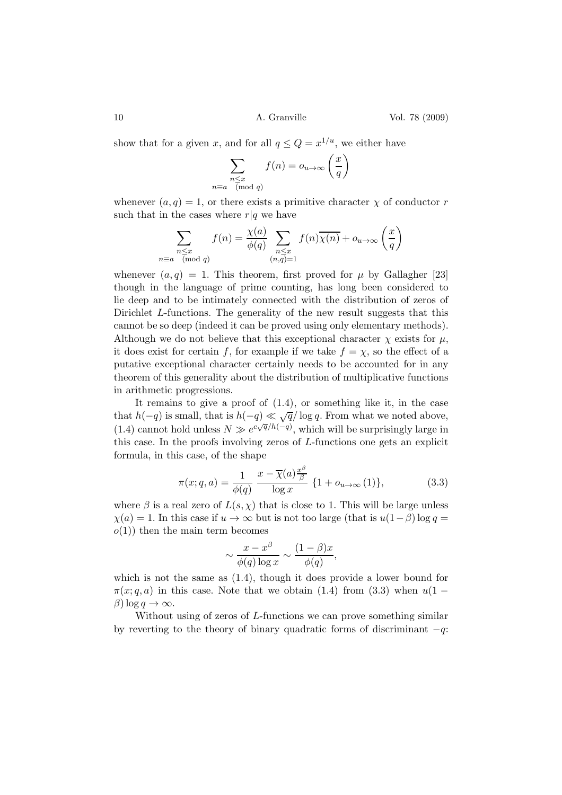10 **A. Granville** Vol. 78 (2009)

show that for a given x, and for all  $q \leq Q = x^{1/u}$ , we either have

$$
\sum_{\substack{n \le x \\ n \equiv a \pmod{q}}} f(n) = o_{u \to \infty} \left(\frac{x}{q}\right)
$$

whenever  $(a, q) = 1$ , or there exists a primitive character  $\chi$  of conductor r such that in the cases where  $r|q$  we have

$$
\sum_{\substack{n \le x \\ n \equiv a \pmod{q}}} f(n) = \frac{\chi(a)}{\phi(q)} \sum_{\substack{n \le x \\ (n,q)=1}} f(n) \overline{\chi(n)} + o_{u \to \infty} \left(\frac{x}{q}\right)
$$

whenever  $(a, q) = 1$ . This theorem, first proved for  $\mu$  by Gallagher [23] though in the language of prime counting, has long been considered to lie deep and to be intimately connected with the distribution of zeros of Dirichlet L-functions. The generality of the new result suggests that this cannot be so deep (indeed it can be proved using only elementary methods). Although we do not believe that this exceptional character  $\chi$  exists for  $\mu$ , it does exist for certain f, for example if we take  $f = \chi$ , so the effect of a putative exceptional character certainly needs to be accounted for in any theorem of this generality about the distribution of multiplicative functions in arithmetic progressions.

It remains to give a proof of (1.4), or something like it, in the case that  $h(-q)$  is small, that is  $h(-q) \ll \sqrt{q}/\log q$ . From what we noted above, (1.4) cannot hold unless  $N \gg e^{c\sqrt{q}/h(-q)}$ , which will be surprisingly large in this case. In the proofs involving zeros of L-functions one gets an explicit formula, in this case, of the shape

$$
\pi(x;q,a) = \frac{1}{\phi(q)} \frac{x - \overline{\chi}(a)\frac{x^{\beta}}{\beta}}{\log x} \{1 + o_{u \to \infty}(1)\},\tag{3.3}
$$

where  $\beta$  is a real zero of  $L(s, \chi)$  that is close to 1. This will be large unless  $\chi(a) = 1$ . In this case if  $u \to \infty$  but is not too large (that is  $u(1-\beta) \log q =$  $o(1)$ ) then the main term becomes

$$
\sim \frac{x - x^{\beta}}{\phi(q) \log x} \sim \frac{(1 - \beta)x}{\phi(q)},
$$

which is not the same as (1.4), though it does provide a lower bound for  $\pi(x; q, a)$  in this case. Note that we obtain (1.4) from (3.3) when  $u(1 \beta$ ) log *q*  $\rightarrow \infty$ .

Without using of zeros of L-functions we can prove something similar by reverting to the theory of binary quadratic forms of discriminant  $-q$ :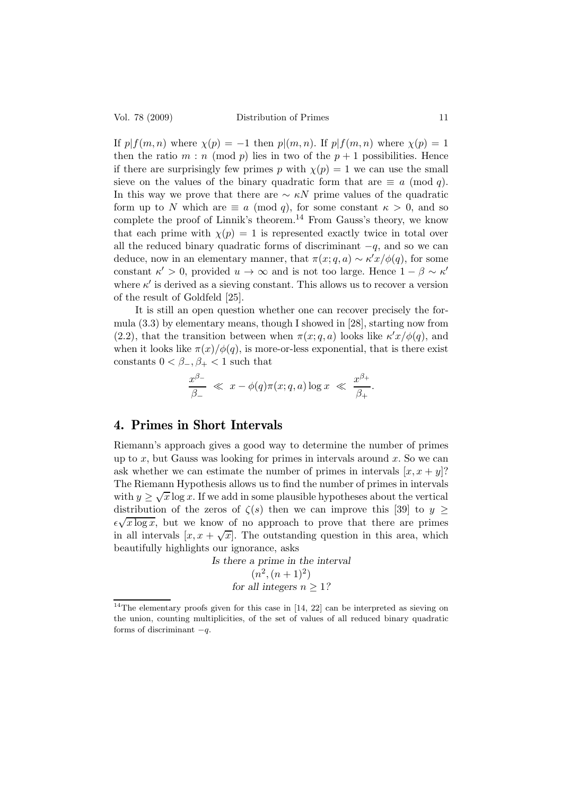If  $p|f(m, n)$  where  $\chi(p) = -1$  then  $p|(m, n)$ . If  $p|f(m, n)$  where  $\chi(p) = 1$ then the ratio  $m : n \pmod{p}$  lies in two of the  $p + 1$  possibilities. Hence if there are surprisingly few primes p with  $\chi(p) = 1$  we can use the small sieve on the values of the binary quadratic form that are  $\equiv a \pmod{q}$ . In this way we prove that there are  $\sim \kappa N$  prime values of the quadratic form up to N which are  $\equiv a \pmod{q}$ , for some constant  $\kappa > 0$ , and so complete the proof of Linnik's theorem.<sup>14</sup> From Gauss's theory, we know that each prime with  $\chi(p) = 1$  is represented exactly twice in total over all the reduced binary quadratic forms of discriminant  $-q$ , and so we can deduce, now in an elementary manner, that  $\pi(x; q, a) \sim \kappa' x/\phi(q)$ , for some constant  $\kappa' > 0$ , provided  $u \to \infty$  and is not too large. Hence  $1 - \beta \sim \kappa'$ where  $\kappa'$  is derived as a sieving constant. This allows us to recover a version of the result of Goldfeld [25].

It is still an open question whether one can recover precisely the formula (3.3) by elementary means, though I showed in [28], starting now from  $(2.2)$ , that the transition between when  $\pi(x; q, a)$  looks like  $\kappa' x/\phi(q)$ , and when it looks like  $\pi(x)/\phi(q)$ , is more-or-less exponential, that is there exist constants  $0 < \beta_-, \beta_+ < 1$  such that

$$
\frac{x^{\beta_-}}{\beta_-} \ll x - \phi(q)\pi(x; q, a) \log x \ll \frac{x^{\beta_+}}{\beta_+}.
$$

## 4. Primes in Short Intervals

Riemann's approach gives a good way to determine the number of primes up to x, but Gauss was looking for primes in intervals around  $x$ . So we can ask whether we can estimate the number of primes in intervals  $[x, x + y]$ ? The Riemann Hypothesis allows us to find the number of primes in intervals with  $y \geq \sqrt{x} \log x$ . If we add in some plausible hypotheses about the vertical distribution of the zeros of  $\zeta(s)$  then we can improve this [39] to  $y \geq$  $\epsilon \sqrt{x \log x}$ , but we know of no approach to prove that there are primes in all intervals  $[x, x + \sqrt{x}]$ . The outstanding question in this area, which beautifully highlights our ignorance, asks

> Is there a prime in the interval  $(n^2,(n+1)^2)$ for all integers  $n > 1$ ?

 $14$ The elementary proofs given for this case in [14, 22] can be interpreted as sieving on the union, counting multiplicities, of the set of values of all reduced binary quadratic forms of discriminant  $-q$ .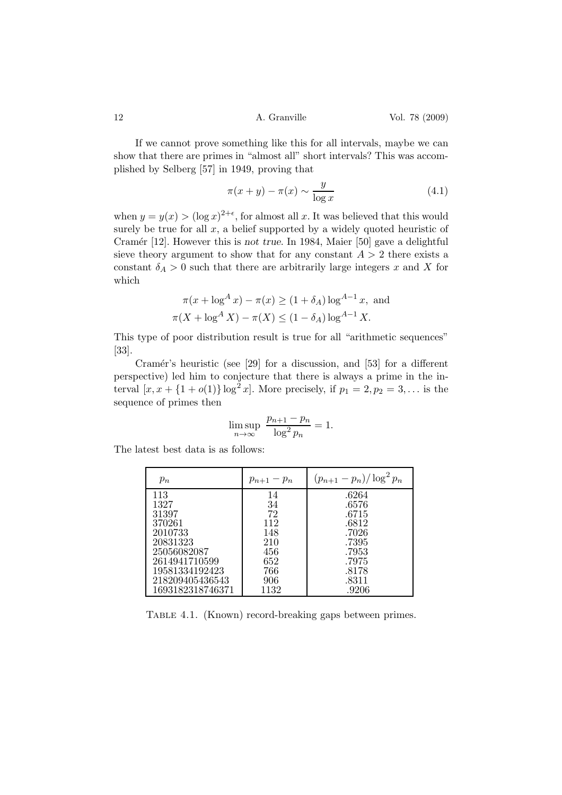If we cannot prove something like this for all intervals, maybe we can show that there are primes in "almost all" short intervals? This was accomplished by Selberg [57] in 1949, proving that

$$
\pi(x+y) - \pi(x) \sim \frac{y}{\log x} \tag{4.1}
$$

when  $y = y(x) > (\log x)^{2+\epsilon}$ , for almost all x. It was believed that this would surely be true for all  $x$ , a belief supported by a widely quoted heuristic of Cramér [12]. However this is not true. In 1984, Maier [50] gave a delightful sieve theory argument to show that for any constant  $A > 2$  there exists a constant  $\delta_A > 0$  such that there are arbitrarily large integers x and X for which

$$
\pi(x + \log^A x) - \pi(x) \ge (1 + \delta_A) \log^{A-1} x
$$
, and  
 $\pi(X + \log^A X) - \pi(X) \le (1 - \delta_A) \log^{A-1} X$ .

This type of poor distribution result is true for all "arithmetic sequences" [33].

Cramér's heuristic (see [29] for a discussion, and [53] for a different perspective) led him to conjecture that there is always a prime in the interval  $[x, x + {1 + o(1)} \log^{2} x]$ . More precisely, if  $p_1 = 2, p_2 = 3, ...$  is the sequence of primes then

$$
\limsup_{n \to \infty} \frac{p_{n+1} - p_n}{\log^2 p_n} = 1.
$$

The latest best data is as follows:

| $p_n$            | $p_{n+1}-p_n$ | $(p_{n+1} - p_n)/\log^2 p_n$ |
|------------------|---------------|------------------------------|
| 113              | 14            | .6264                        |
| 1327             | 34            | .6576                        |
| 31397            | 72            | .6715                        |
| 370261           | 112           | .6812                        |
| 2010733          | 148           | .7026                        |
| 20831323         | 210           | .7395                        |
| 25056082087      | 456           | .7953                        |
| 2614941710599    | 652           | .7975                        |
| 19581334192423   | 766           | .8178                        |
| 218209405436543  | 906           | .8311                        |
| 1693182318746371 | 1132          | .9206                        |

TABLE 4.1. (Known) record-breaking gaps between primes.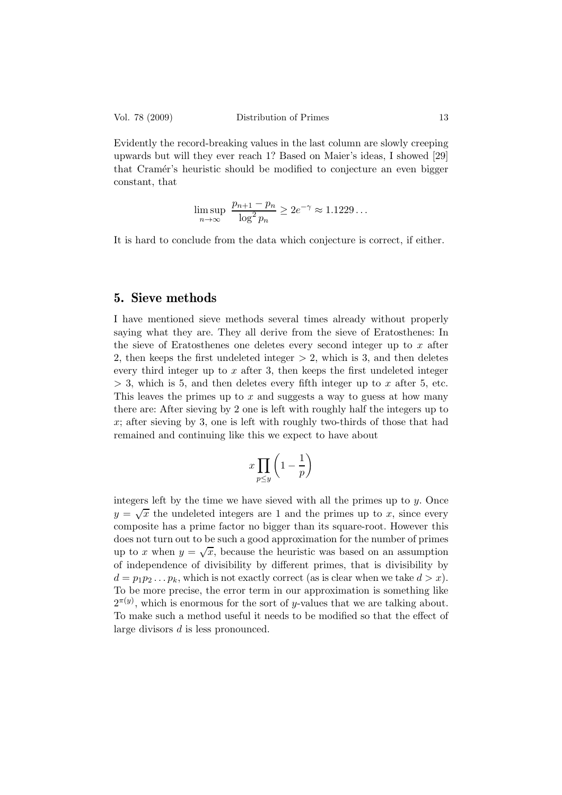Evidently the record-breaking values in the last column are slowly creeping upwards but will they ever reach 1? Based on Maier's ideas, I showed [29] that Cramér's heuristic should be modified to conjecture an even bigger constant, that

$$
\limsup_{n \to \infty} \frac{p_{n+1} - p_n}{\log^2 p_n} \ge 2e^{-\gamma} \approx 1.1229...
$$

It is hard to conclude from the data which conjecture is correct, if either.

### 5. Sieve methods

I have mentioned sieve methods several times already without properly saying what they are. They all derive from the sieve of Eratosthenes: In the sieve of Eratosthenes one deletes every second integer up to  $x$  after 2, then keeps the first undeleted integer  $> 2$ , which is 3, and then deletes every third integer up to  $x$  after 3, then keeps the first undeleted integer  $>$  3, which is 5, and then deletes every fifth integer up to x after 5, etc. This leaves the primes up to  $x$  and suggests a way to guess at how many there are: After sieving by 2 one is left with roughly half the integers up to x; after sieving by 3, one is left with roughly two-thirds of those that had remained and continuing like this we expect to have about

$$
x \prod_{p \le y} \left( 1 - \frac{1}{p} \right)
$$

integers left by the time we have sieved with all the primes up to  $y$ . Once  $y = \sqrt{x}$  the undeleted integers are 1 and the primes up to x, since every composite has a prime factor no bigger than its square-root. However this does not turn out to be such a good approximation for the number of primes up to x when  $y = \sqrt{x}$ , because the heuristic was based on an assumption of independence of divisibility by different primes, that is divisibility by  $d = p_1p_2 \ldots p_k$ , which is not exactly correct (as is clear when we take  $d > x$ ). To be more precise, the error term in our approximation is something like  $2^{\pi(y)}$ , which is enormous for the sort of y-values that we are talking about. To make such a method useful it needs to be modified so that the effect of large divisors d is less pronounced.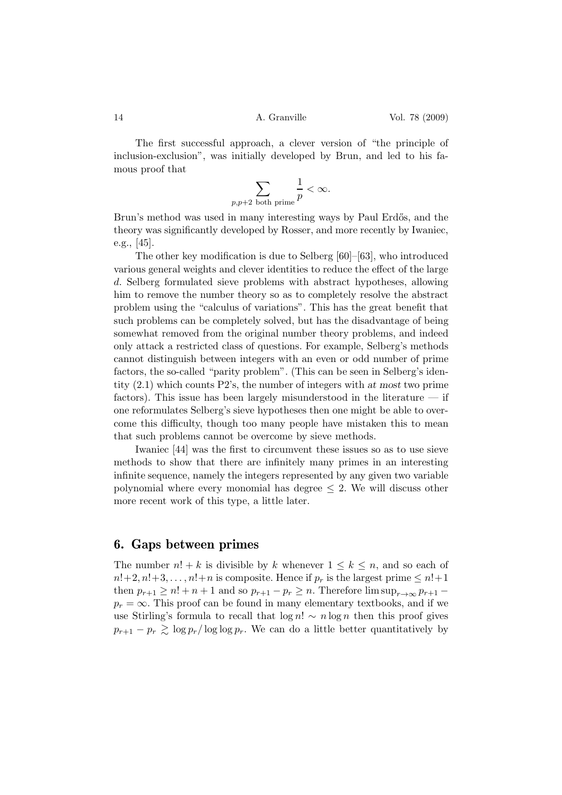The first successful approach, a clever version of "the principle of inclusion-exclusion", was initially developed by Brun, and led to his famous proof that

$$
\sum_{p,p+2 \text{ both prime}} \frac{1}{p} < \infty.
$$

Brun's method was used in many interesting ways by Paul Erdős, and the theory was significantly developed by Rosser, and more recently by Iwaniec, e.g., [45].

The other key modification is due to Selberg [60]–[63], who introduced various general weights and clever identities to reduce the effect of the large d. Selberg formulated sieve problems with abstract hypotheses, allowing him to remove the number theory so as to completely resolve the abstract problem using the "calculus of variations". This has the great benefit that such problems can be completely solved, but has the disadvantage of being somewhat removed from the original number theory problems, and indeed only attack a restricted class of questions. For example, Selberg's methods cannot distinguish between integers with an even or odd number of prime factors, the so-called "parity problem". (This can be seen in Selberg's identity (2.1) which counts P2's, the number of integers with at most two prime factors). This issue has been largely misunderstood in the literature  $-$  if one reformulates Selberg's sieve hypotheses then one might be able to overcome this difficulty, though too many people have mistaken this to mean that such problems cannot be overcome by sieve methods.

Iwaniec [44] was the first to circumvent these issues so as to use sieve methods to show that there are infinitely many primes in an interesting infinite sequence, namely the integers represented by any given two variable polynomial where every monomial has degree  $\leq$  2. We will discuss other more recent work of this type, a little later.

#### 6. Gaps between primes

The number  $n! + k$  is divisible by k whenever  $1 \leq k \leq n$ , and so each of  $n!+2, n!+3, \ldots, n!+n$  is composite. Hence if  $p_r$  is the largest prime  $\leq n!+1$ then  $p_{r+1} \ge n! + n + 1$  and so  $p_{r+1} - p_r \ge n$ . Therefore  $\limsup_{r \to \infty} p_{r+1}$  $p_r = \infty$ . This proof can be found in many elementary textbooks, and if we use Stirling's formula to recall that  $\log n! \sim n \log n$  then this proof gives  $p_{r+1} - p_r \gtrsim \log p_r / \log \log p_r$ . We can do a little better quantitatively by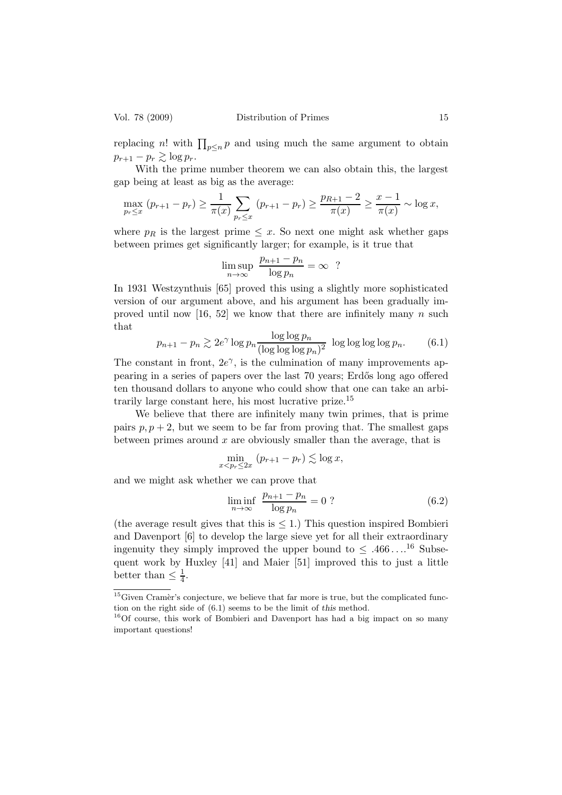replacing n! with  $\prod_{p\leq n} p$  and using much the same argument to obtain  $p_{r+1} - p_r \gtrsim \log p_r$ .

With the prime number theorem we can also obtain this, the largest gap being at least as big as the average:

$$
\max_{p_r \leq x} (p_{r+1} - p_r) \geq \frac{1}{\pi(x)} \sum_{p_r \leq x} (p_{r+1} - p_r) \geq \frac{p_{R+1} - 2}{\pi(x)} \geq \frac{x - 1}{\pi(x)} \sim \log x,
$$

where  $p_R$  is the largest prime  $\leq x$ . So next one might ask whether gaps between primes get significantly larger; for example, is it true that

$$
\limsup_{n \to \infty} \frac{p_{n+1} - p_n}{\log p_n} = \infty ?
$$

In 1931 Westzynthuis [65] proved this using a slightly more sophisticated version of our argument above, and his argument has been gradually improved until now  $[16, 52]$  we know that there are infinitely many n such that

$$
p_{n+1} - p_n \gtrsim 2e^{\gamma} \log p_n \frac{\log \log p_n}{(\log \log \log p_n)^2} \log \log \log \log p_n.
$$
 (6.1)

The constant in front,  $2e^{\gamma}$ , is the culmination of many improvements appearing in a series of papers over the last 70 years; Erd˝os long ago offered ten thousand dollars to anyone who could show that one can take an arbitrarily large constant here, his most lucrative prize.<sup>15</sup>

We believe that there are infinitely many twin primes, that is prime pairs  $p, p+2$ , but we seem to be far from proving that. The smallest gaps between primes around  $x$  are obviously smaller than the average, that is

$$
\min_{x < p_r \le 2x} (p_{r+1} - p_r) \lesssim \log x,
$$

and we might ask whether we can prove that

$$
\liminf_{n \to \infty} \frac{p_{n+1} - p_n}{\log p_n} = 0 ? \tag{6.2}
$$

(the average result gives that this is  $\leq 1$ .) This question inspired Bombieri and Davenport [6] to develop the large sieve yet for all their extraordinary ingenuity they simply improved the upper bound to  $\leq .466 \dots^{16}$  Subsequent work by Huxley [41] and Maier [51] improved this to just a little better than  $\leq \frac{1}{4}$  $\frac{1}{4}$ .

 $15$  Given Cramèr's conjecture, we believe that far more is true, but the complicated function on the right side of (6.1) seems to be the limit of this method.

<sup>16</sup>Of course, this work of Bombieri and Davenport has had a big impact on so many important questions!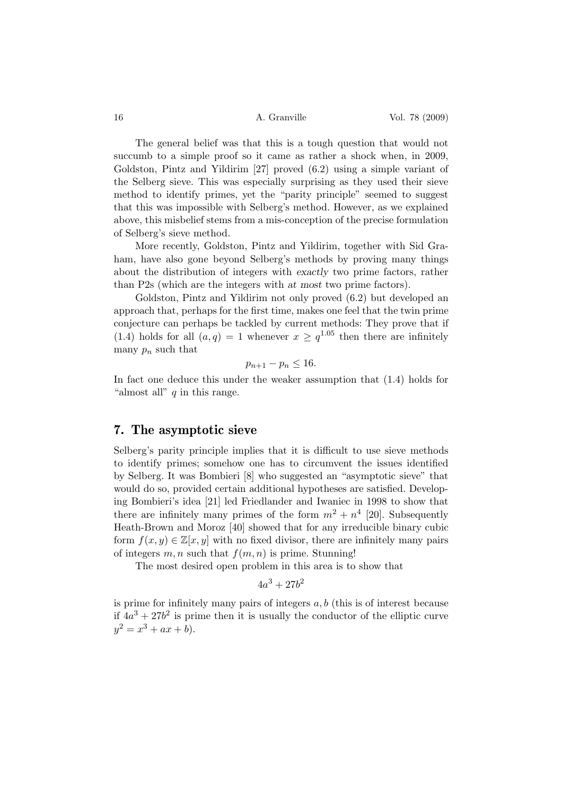The general belief was that this is a tough question that would not succumb to a simple proof so it came as rather a shock when, in 2009, Goldston, Pintz and Yildirim [27] proved (6.2) using a simple variant of the Selberg sieve. This was especially surprising as they used their sieve method to identify primes, yet the "parity principle" seemed to suggest that this was impossible with Selberg's method. However, as we explained above, this misbelief stems from a mis-conception of the precise formulation of Selberg's sieve method.

More recently, Goldston, Pintz and Yildirim, together with Sid Graham, have also gone beyond Selberg's methods by proving many things about the distribution of integers with exactly two prime factors, rather than P2s (which are the integers with at most two prime factors).

Goldston, Pintz and Yildirim not only proved (6.2) but developed an approach that, perhaps for the first time, makes one feel that the twin prime conjecture can perhaps be tackled by current methods: They prove that if (1.4) holds for all  $(a, q) = 1$  whenever  $x \geq q^{1.05}$  then there are infinitely many  $p_n$  such that

$$
p_{n+1}-p_n\leq 16.
$$

In fact one deduce this under the weaker assumption that (1.4) holds for "almost all"  $q$  in this range.

#### 7. The asymptotic sieve

Selberg's parity principle implies that it is difficult to use sieve methods to identify primes; somehow one has to circumvent the issues identified by Selberg. It was Bombieri [8] who suggested an "asymptotic sieve" that would do so, provided certain additional hypotheses are satisfied. Developing Bombieri's idea [21] led Friedlander and Iwaniec in 1998 to show that there are infinitely many primes of the form  $m^2 + n^4$  [20]. Subsequently Heath-Brown and Moroz [40] showed that for any irreducible binary cubic form  $f(x, y) \in \mathbb{Z}[x, y]$  with no fixed divisor, there are infinitely many pairs of integers  $m, n$  such that  $f(m, n)$  is prime. Stunning!

The most desired open problem in this area is to show that

$$
4a^3 + 27b^2
$$

is prime for infinitely many pairs of integers  $a, b$  (this is of interest because if  $4a^3 + 27b^2$  is prime then it is usually the conductor of the elliptic curve  $y^2 = x^3 + ax + b$ .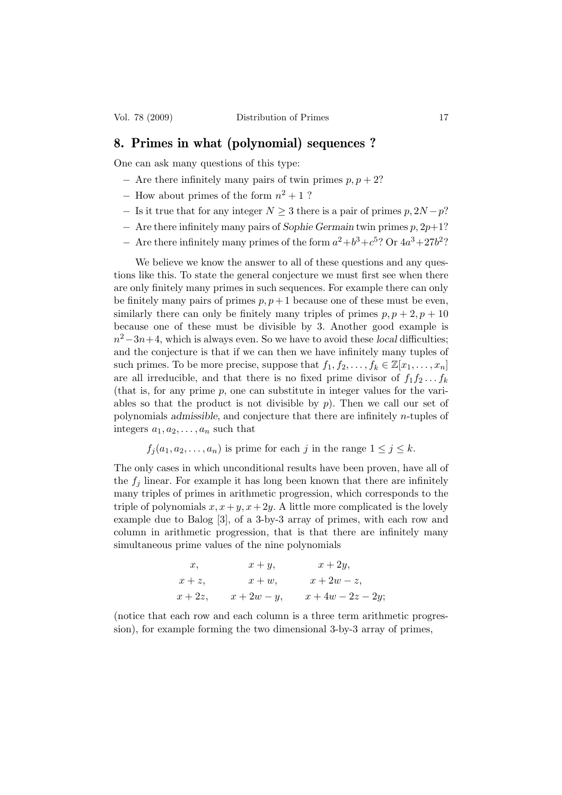#### 8. Primes in what (polynomial) sequences ?

One can ask many questions of this type:

- $-$  Are there infinitely many pairs of twin primes  $p, p + 2$ ?
- $-$  How about primes of the form  $n^2 + 1$  ?
- $-$  Is it true that for any integer  $N \geq 3$  there is a pair of primes  $p, 2N p$ ?
- $-$  Are there infinitely many pairs of Sophie Germain twin primes  $p$ ,  $2p+1$ ?
- Are there infinitely many primes of the form  $a^2 + b^3 + c^5$ ? Or  $4a^3 + 27b^2$ ?

We believe we know the answer to all of these questions and any questions like this. To state the general conjecture we must first see when there are only finitely many primes in such sequences. For example there can only be finitely many pairs of primes  $p, p+1$  because one of these must be even, similarly there can only be finitely many triples of primes  $p, p+2, p+10$ because one of these must be divisible by 3. Another good example is  $n^2-3n+4$ , which is always even. So we have to avoid these *local* difficulties; and the conjecture is that if we can then we have infinitely many tuples of such primes. To be more precise, suppose that  $f_1, f_2, \ldots, f_k \in \mathbb{Z}[x_1, \ldots, x_n]$ are all irreducible, and that there is no fixed prime divisor of  $f_1f_2 \ldots f_k$ (that is, for any prime  $p$ , one can substitute in integer values for the variables so that the product is not divisible by  $p$ ). Then we call our set of polynomials admissible, and conjecture that there are infinitely n-tuples of integers  $a_1, a_2, \ldots, a_n$  such that

$$
f_j(a_1, a_2,..., a_n)
$$
 is prime for each j in the range  $1 \le j \le k$ .

The only cases in which unconditional results have been proven, have all of the  $f_i$  linear. For example it has long been known that there are infinitely many triples of primes in arithmetic progression, which corresponds to the triple of polynomials  $x, x+y, x+2y$ . A little more complicated is the lovely example due to Balog [3], of a 3-by-3 array of primes, with each row and column in arithmetic progression, that is that there are infinitely many simultaneous prime values of the nine polynomials

$$
x, \t x+y, \t x+2y,
$$
  
\n
$$
x+z, \t x+w, \t x+2w-z,
$$
  
\n
$$
x+2z, \t x+2w-y, \t x+4w-2z-2y;
$$

(notice that each row and each column is a three term arithmetic progression), for example forming the two dimensional 3-by-3 array of primes,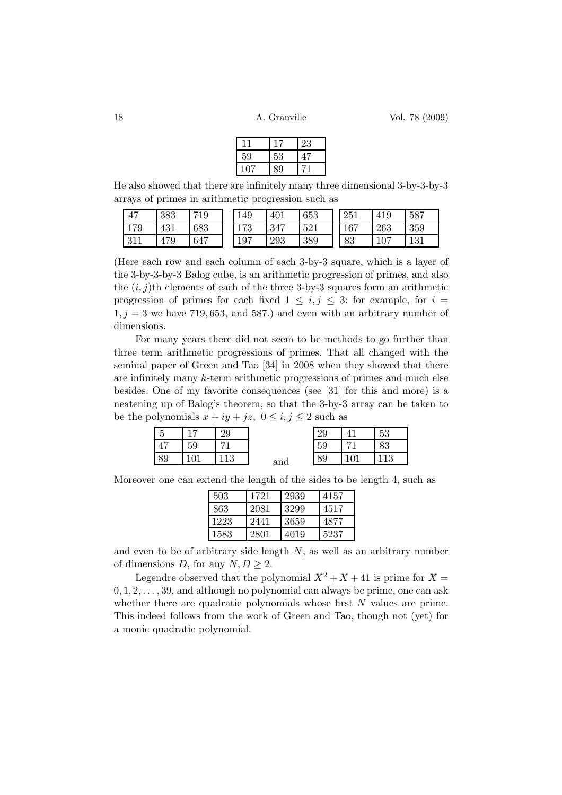|     |        | 23 |
|-----|--------|----|
| 59  | $53\,$ |    |
| 107 | 89     |    |

He also showed that there are infinitely many three dimensional 3-by-3-by-3 arrays of primes in arithmetic progression such as

| 47  | 383 | 719 | 149 | 401 | 653 | 251 | 419 | 587 |
|-----|-----|-----|-----|-----|-----|-----|-----|-----|
| 179 | 431 | 683 | 173 | 347 | 521 | 167 | 263 | 359 |
| 311 | 479 | 647 | 197 | 293 | 389 | 83  | 107 | 131 |

(Here each row and each column of each 3-by-3 square, which is a layer of the 3-by-3-by-3 Balog cube, is an arithmetic progression of primes, and also the  $(i, j)$ th elements of each of the three 3-by-3 squares form an arithmetic progression of primes for each fixed  $1 \leq i, j \leq 3$ : for example, for  $i =$  $1, j = 3$  we have 719, 653, and 587.) and even with an arbitrary number of dimensions.

For many years there did not seem to be methods to go further than three term arithmetic progressions of primes. That all changed with the seminal paper of Green and Tao [34] in 2008 when they showed that there are infinitely many k-term arithmetic progressions of primes and much else besides. One of my favorite consequences (see [31] for this and more) is a neatening up of Balog's theorem, so that the 3-by-3 array can be taken to be the polynomials  $x + iy + jz$ ,  $0 \le i, j \le 2$  such as

|    |    | 29                   |     | ററ<br>∠ລ      | 53             |
|----|----|----------------------|-----|---------------|----------------|
|    | 59 |                      |     | 59            | 83             |
| 89 |    | 1 <sub>2</sub><br>ŦO | and | $\circ$<br>OУ | 1 <sub>2</sub> |

Moreover one can extend the length of the sides to be length 4, such as

| 503  | 1721 | 2939 | 4157 |
|------|------|------|------|
| 863  | 2081 | 3299 | 4517 |
| 1223 | 2441 | 3659 | 4877 |
| 1583 | 2801 | 4019 | 5237 |

and even to be of arbitrary side length  $N$ , as well as an arbitrary number of dimensions D, for any  $N, D \geq 2$ .

Legendre observed that the polynomial  $X^2 + X + 41$  is prime for  $X =$  $0, 1, 2, \ldots, 39$ , and although no polynomial can always be prime, one can ask whether there are quadratic polynomials whose first  $N$  values are prime. This indeed follows from the work of Green and Tao, though not (yet) for a monic quadratic polynomial.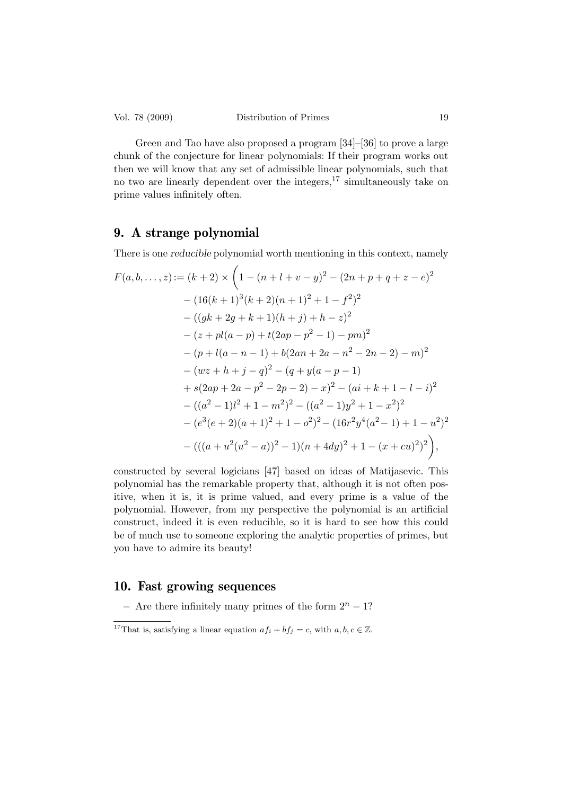Green and Tao have also proposed a program [34]–[36] to prove a large chunk of the conjecture for linear polynomials: If their program works out then we will know that any set of admissible linear polynomials, such that no two are linearly dependent over the integers,  $17 \sin(12)$  simultaneously take on prime values infinitely often.

## 9. A strange polynomial

There is one reducible polynomial worth mentioning in this context, namely

$$
F(a, b, ..., z) := (k + 2) \times \left(1 - (n + l + v - y)^2 - (2n + p + q + z - e)^2\right.\n- (16(k + 1)^3(k + 2)(n + 1)^2 + 1 - f^2)^2\n- ((gk + 2g + k + 1)(h + j) + h - z)^2\n- (z + pl(a - p) + t(2ap - p^2 - 1) - pm)^2\n- (p + l(a - n - 1) + b(2an + 2a - n^2 - 2n - 2) - m)^2\n- (wz + h + j - q)^2 - (q + y(a - p - 1)\n+ s(2ap + 2a - p^2 - 2p - 2) - x)^2 - (ai + k + 1 - l - i)^2\n- ((a2 - 1)l2 + 1 - m2)2 - ((a2 - 1)y2 + 1 - x2)2\n- (e3(e + 2)(a + 1)2 + 1 - o2)2 - (16r2y4(a2 - 1) + 1 - u2)2\n- (((a + u2(u2 - a))2 - 1)(n + 4dy)2 + 1 - (x + cu)2)2),
$$

constructed by several logicians [47] based on ideas of Matijasevic. This polynomial has the remarkable property that, although it is not often positive, when it is, it is prime valued, and every prime is a value of the polynomial. However, from my perspective the polynomial is an artificial construct, indeed it is even reducible, so it is hard to see how this could be of much use to someone exploring the analytic properties of primes, but you have to admire its beauty!

## 10. Fast growing sequences

 $-$  Are there infinitely many primes of the form  $2^{n} - 1$ ?

<sup>&</sup>lt;sup>17</sup>That is, satisfying a linear equation  $af_i + bf_j = c$ , with  $a, b, c \in \mathbb{Z}$ .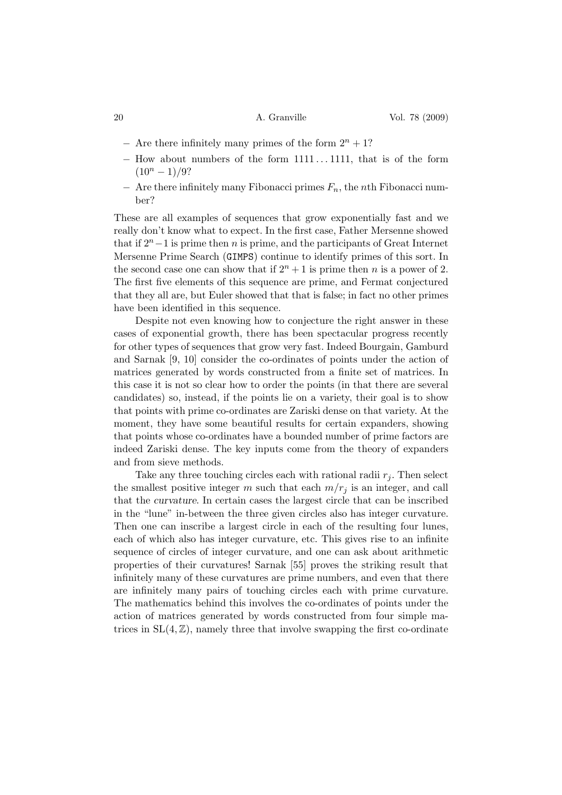- $-$  Are there infinitely many primes of the form  $2^n + 1$ ?
- − How about numbers of the form 1111 . . . 1111, that is of the form  $(10^n - 1)/9?$
- $-$  Are there infinitely many Fibonacci primes  $F_n$ , the *n*th Fibonacci number?

These are all examples of sequences that grow exponentially fast and we really don't know what to expect. In the first case, Father Mersenne showed that if  $2^{n}-1$  is prime then n is prime, and the participants of Great Internet Mersenne Prime Search (GIMPS) continue to identify primes of this sort. In the second case one can show that if  $2^n + 1$  is prime then n is a power of 2. The first five elements of this sequence are prime, and Fermat conjectured that they all are, but Euler showed that that is false; in fact no other primes have been identified in this sequence.

Despite not even knowing how to conjecture the right answer in these cases of exponential growth, there has been spectacular progress recently for other types of sequences that grow very fast. Indeed Bourgain, Gamburd and Sarnak [9, 10] consider the co-ordinates of points under the action of matrices generated by words constructed from a finite set of matrices. In this case it is not so clear how to order the points (in that there are several candidates) so, instead, if the points lie on a variety, their goal is to show that points with prime co-ordinates are Zariski dense on that variety. At the moment, they have some beautiful results for certain expanders, showing that points whose co-ordinates have a bounded number of prime factors are indeed Zariski dense. The key inputs come from the theory of expanders and from sieve methods.

Take any three touching circles each with rational radii  $r_i$ . Then select the smallest positive integer m such that each  $m/r_j$  is an integer, and call that the curvature. In certain cases the largest circle that can be inscribed in the "lune" in-between the three given circles also has integer curvature. Then one can inscribe a largest circle in each of the resulting four lunes, each of which also has integer curvature, etc. This gives rise to an infinite sequence of circles of integer curvature, and one can ask about arithmetic properties of their curvatures! Sarnak [55] proves the striking result that infinitely many of these curvatures are prime numbers, and even that there are infinitely many pairs of touching circles each with prime curvature. The mathematics behind this involves the co-ordinates of points under the action of matrices generated by words constructed from four simple matrices in  $SL(4, \mathbb{Z})$ , namely three that involve swapping the first co-ordinate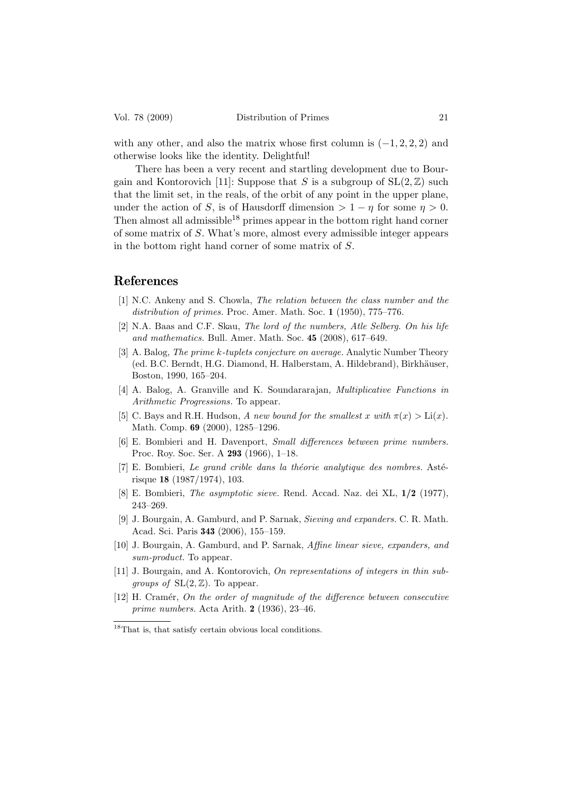with any other, and also the matrix whose first column is  $(-1, 2, 2, 2)$  and otherwise looks like the identity. Delightful!

There has been a very recent and startling development due to Bourgain and Kontorovich [11]: Suppose that S is a subgroup of  $SL(2, \mathbb{Z})$  such that the limit set, in the reals, of the orbit of any point in the upper plane, under the action of S, is of Hausdorff dimension  $> 1 - \eta$  for some  $\eta > 0$ . Then almost all admissible<sup>18</sup> primes appear in the bottom right hand corner of some matrix of S. What's more, almost every admissible integer appears in the bottom right hand corner of some matrix of S.

## References

- [1] N.C. Ankeny and S. Chowla, *The relation between the class number and the distribution of primes.* Proc. Amer. Math. Soc. 1 (1950), 775–776.
- [2] N.A. Baas and C.F. Skau, *The lord of the numbers, Atle Selberg. On his life and mathematics.* Bull. Amer. Math. Soc. 45 (2008), 617–649.
- [3] A. Balog, *The prime* k*-tuplets conjecture on average.* Analytic Number Theory (ed. B.C. Berndt, H.G. Diamond, H. Halberstam, A. Hildebrand), Birkhäuser, Boston, 1990, 165–204.
- [4] A. Balog, A. Granville and K. Soundararajan, *Multiplicative Functions in Arithmetic Progressions.* To appear.
- [5] C. Bays and R.H. Hudson, *A new bound for the smallest* x *with*  $\pi(x) > Li(x)$ *.* Math. Comp. 69 (2000), 1285–1296.
- [6] E. Bombieri and H. Davenport, *Small differences between prime numbers.* Proc. Roy. Soc. Ser. A 293 (1966), 1–18.
- $[7]$  E. Bombieri, *Le grand crible dans la théorie analytique des nombres.* Astérisque 18 (1987/1974), 103.
- [8] E. Bombieri, *The asymptotic sieve.* Rend. Accad. Naz. dei XL, 1/2 (1977), 243–269.
- [9] J. Bourgain, A. Gamburd, and P. Sarnak, *Sieving and expanders.* C. R. Math. Acad. Sci. Paris 343 (2006), 155–159.
- [10] J. Bourgain, A. Gamburd, and P. Sarnak, *Affine linear sieve, expanders, and sum-product.* To appear.
- [11] J. Bourgain, and A. Kontorovich, *On representations of integers in thin subgroups of*  $SL(2, \mathbb{Z})$ . To appear.
- [12] H. Cram´er, *On the order of magnitude of the difference between consecutive prime numbers.* Acta Arith. 2 (1936), 23–46.

 $^{18}\mathrm{That}$  is, that satisfy certain obvious local conditions.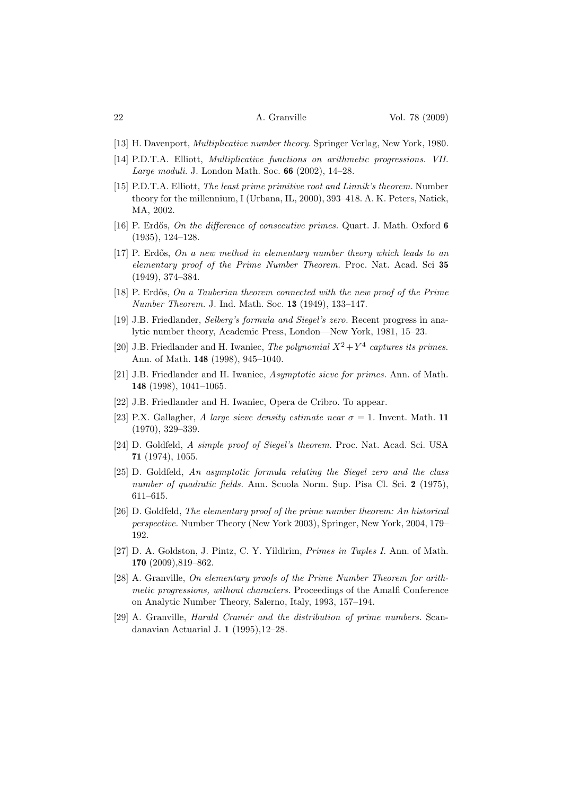- [13] H. Davenport, *Multiplicative number theory.* Springer Verlag, New York, 1980.
- [14] P.D.T.A. Elliott, *Multiplicative functions on arithmetic progressions. VII. Large moduli.* J. London Math. Soc. 66 (2002), 14–28.
- [15] P.D.T.A. Elliott, *The least prime primitive root and Linnik's theorem.* Number theory for the millennium, I (Urbana, IL, 2000), 393–418. A. K. Peters, Natick, MA, 2002.
- [16] P. Erdős, *On the difference of consecutive primes.* Quart. J. Math. Oxford 6 (1935), 124–128.
- [17] P. Erd˝os, *On a new method in elementary number theory which leads to an elementary proof of the Prime Number Theorem.* Proc. Nat. Acad. Sci 35 (1949), 374–384.
- [18] P. Erd˝os, *On a Tauberian theorem connected with the new proof of the Prime Number Theorem.* J. Ind. Math. Soc. 13 (1949), 133–147.
- [19] J.B. Friedlander, *Selberg's formula and Siegel's zero.* Recent progress in analytic number theory, Academic Press, London—New York, 1981, 15–23.
- [20] J.B. Friedlander and H. Iwaniec, *The polynomial*  $X^2 + Y^4$  *captures its primes.* Ann. of Math. 148 (1998), 945–1040.
- [21] J.B. Friedlander and H. Iwaniec, *Asymptotic sieve for primes.* Ann. of Math. 148 (1998), 1041–1065.
- [22] J.B. Friedlander and H. Iwaniec, Opera de Cribro. To appear.
- [23] P.X. Gallagher, *A large sieve density estimate near*  $\sigma = 1$ . Invent. Math. 11 (1970), 329–339.
- [24] D. Goldfeld, *A simple proof of Siegel's theorem.* Proc. Nat. Acad. Sci. USA 71 (1974), 1055.
- [25] D. Goldfeld, *An asymptotic formula relating the Siegel zero and the class number of quadratic fields.* Ann. Scuola Norm. Sup. Pisa Cl. Sci. 2 (1975), 611–615.
- [26] D. Goldfeld, *The elementary proof of the prime number theorem: An historical perspective.* Number Theory (New York 2003), Springer, New York, 2004, 179– 192.
- [27] D. A. Goldston, J. Pintz, C. Y. Yildirim, *Primes in Tuples I.* Ann. of Math. 170 (2009),819–862.
- [28] A. Granville, *On elementary proofs of the Prime Number Theorem for arithmetic progressions, without characters.* Proceedings of the Amalfi Conference on Analytic Number Theory, Salerno, Italy, 1993, 157–194.
- [29] A. Granville, *Harald Cram´er and the distribution of prime numbers.* Scandanavian Actuarial J. 1 (1995),12–28.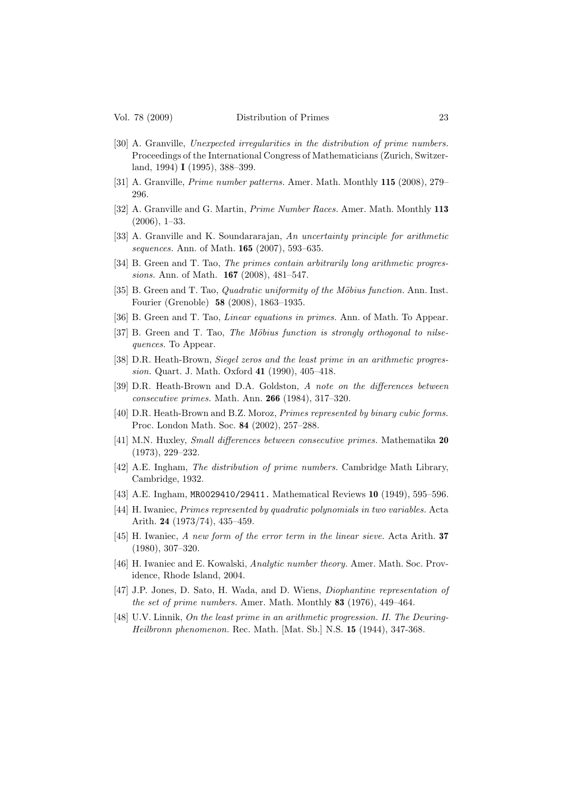- [30] A. Granville, *Unexpected irregularities in the distribution of prime numbers.* Proceedings of the International Congress of Mathematicians (Zurich, Switzerland, 1994) I (1995), 388–399.
- [31] A. Granville, *Prime number patterns.* Amer. Math. Monthly 115 (2008), 279– 296.
- [32] A. Granville and G. Martin, *Prime Number Races.* Amer. Math. Monthly 113 (2006), 1–33.
- [33] A. Granville and K. Soundararajan, *An uncertainty principle for arithmetic sequences.* Ann. of Math. 165 (2007), 593–635.
- [34] B. Green and T. Tao, *The primes contain arbitrarily long arithmetic progressions.* Ann. of Math. 167 (2008), 481–547.
- [35] B. Green and T. Tao, *Quadratic uniformity of the Möbius function*. Ann. Inst. Fourier (Grenoble) 58 (2008), 1863–1935.
- [36] B. Green and T. Tao, *Linear equations in primes.* Ann. of Math. To Appear.
- [37] B. Green and T. Tao, *The Möbius function is strongly orthogonal to nilsequences.* To Appear.
- [38] D.R. Heath-Brown, *Siegel zeros and the least prime in an arithmetic progression.* Quart. J. Math. Oxford 41 (1990), 405–418.
- [39] D.R. Heath-Brown and D.A. Goldston, *A note on the differences between consecutive primes.* Math. Ann. 266 (1984), 317–320.
- [40] D.R. Heath-Brown and B.Z. Moroz, *Primes represented by binary cubic forms.* Proc. London Math. Soc. 84 (2002), 257–288.
- [41] M.N. Huxley, *Small differences between consecutive primes.* Mathematika 20 (1973), 229–232.
- [42] A.E. Ingham, *The distribution of prime numbers.* Cambridge Math Library, Cambridge, 1932.
- [43] A.E. Ingham, MR0029410/29411. Mathematical Reviews 10 (1949), 595–596.
- [44] H. Iwaniec, *Primes represented by quadratic polynomials in two variables.* Acta Arith. 24 (1973/74), 435–459.
- [45] H. Iwaniec, *A new form of the error term in the linear sieve.* Acta Arith. 37 (1980), 307–320.
- [46] H. Iwaniec and E. Kowalski, *Analytic number theory.* Amer. Math. Soc. Providence, Rhode Island, 2004.
- [47] J.P. Jones, D. Sato, H. Wada, and D. Wiens, *Diophantine representation of the set of prime numbers.* Amer. Math. Monthly 83 (1976), 449–464.
- [48] U.V. Linnik, *On the least prime in an arithmetic progression. II. The Deuring-Heilbronn phenomenon.* Rec. Math. [Mat. Sb.] N.S. 15 (1944), 347-368.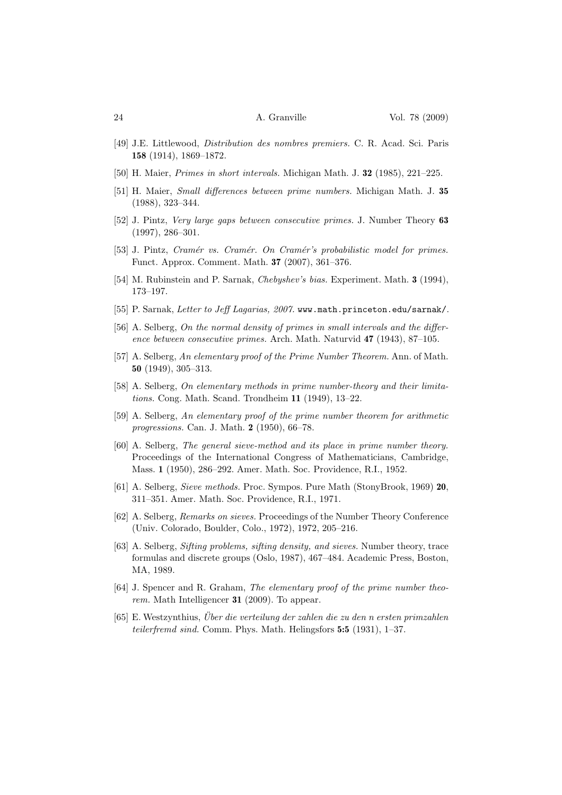- [49] J.E. Littlewood, *Distribution des nombres premiers.* C. R. Acad. Sci. Paris 158 (1914), 1869–1872.
- [50] H. Maier, *Primes in short intervals.* Michigan Math. J. 32 (1985), 221–225.
- [51] H. Maier, *Small differences between prime numbers.* Michigan Math. J. 35 (1988), 323–344.
- [52] J. Pintz, *Very large gaps between consecutive primes.* J. Number Theory 63 (1997), 286–301.
- [53] J. Pintz, *Cram´er vs. Cram´er. On Cram´er's probabilistic model for primes.* Funct. Approx. Comment. Math. 37 (2007), 361–376.
- [54] M. Rubinstein and P. Sarnak, *Chebyshev's bias.* Experiment. Math. 3 (1994), 173–197.
- [55] P. Sarnak, *Letter to Jeff Lagarias, 2007.* www.math.princeton.edu/sarnak/.
- [56] A. Selberg, *On the normal density of primes in small intervals and the difference between consecutive primes.* Arch. Math. Naturvid 47 (1943), 87–105.
- [57] A. Selberg, *An elementary proof of the Prime Number Theorem.* Ann. of Math. 50 (1949), 305–313.
- [58] A. Selberg, *On elementary methods in prime number-theory and their limitations.* Cong. Math. Scand. Trondheim 11 (1949), 13–22.
- [59] A. Selberg, *An elementary proof of the prime number theorem for arithmetic progressions.* Can. J. Math. 2 (1950), 66–78.
- [60] A. Selberg, *The general sieve-method and its place in prime number theory.* Proceedings of the International Congress of Mathematicians, Cambridge, Mass. 1 (1950), 286–292. Amer. Math. Soc. Providence, R.I., 1952.
- [61] A. Selberg, *Sieve methods.* Proc. Sympos. Pure Math (StonyBrook, 1969) 20, 311–351. Amer. Math. Soc. Providence, R.I., 1971.
- [62] A. Selberg, *Remarks on sieves.* Proceedings of the Number Theory Conference (Univ. Colorado, Boulder, Colo., 1972), 1972, 205–216.
- [63] A. Selberg, *Sifting problems, sifting density, and sieves.* Number theory, trace formulas and discrete groups (Oslo, 1987), 467–484. Academic Press, Boston, MA, 1989.
- [64] J. Spencer and R. Graham, *The elementary proof of the prime number theorem.* Math Intelligencer 31 (2009). To appear.
- [65] E. Westzynthius, *Uber die verteilung der zahlen die zu den n ersten primzahlen ¨ teilerfremd sind.* Comm. Phys. Math. Helingsfors 5:5 (1931), 1–37.